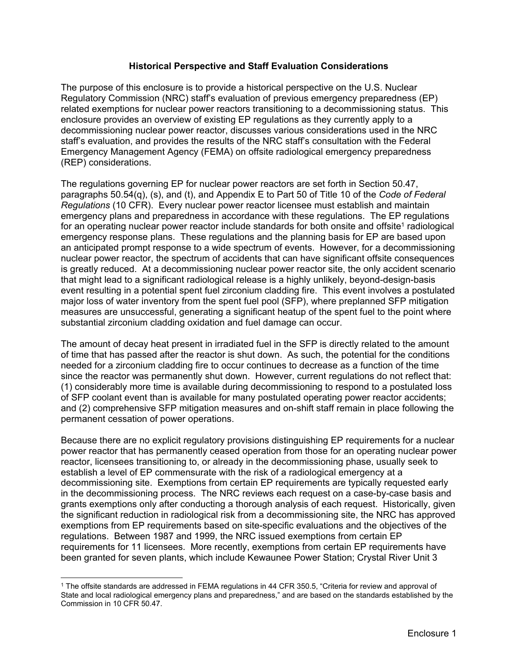### **Historical Perspective and Staff Evaluation Considerations**

The purpose of this enclosure is to provide a historical perspective on the U.S. Nuclear Regulatory Commission (NRC) staff's evaluation of previous emergency preparedness (EP) related exemptions for nuclear power reactors transitioning to a decommissioning status. This enclosure provides an overview of existing EP regulations as they currently apply to a decommissioning nuclear power reactor, discusses various considerations used in the NRC staff's evaluation, and provides the results of the NRC staff's consultation with the Federal Emergency Management Agency (FEMA) on offsite radiological emergency preparedness (REP) considerations.

The regulations governing EP for nuclear power reactors are set forth in Section 50.47, paragraphs 50.54(q), (s), and (t), and Appendix E to Part 50 of Title 10 of the *Code of Federal Regulations* (10 CFR). Every nuclear power reactor licensee must establish and maintain emergency plans and preparedness in accordance with these regulations. The EP regulations for an operating nuclear power reactor include standards for both onsite and offsite<sup>1</sup> radiological emergency response plans. These regulations and the planning basis for EP are based upon an anticipated prompt response to a wide spectrum of events. However, for a decommissioning nuclear power reactor, the spectrum of accidents that can have significant offsite consequences is greatly reduced. At a decommissioning nuclear power reactor site, the only accident scenario that might lead to a significant radiological release is a highly unlikely, beyond-design-basis event resulting in a potential spent fuel zirconium cladding fire. This event involves a postulated major loss of water inventory from the spent fuel pool (SFP), where preplanned SFP mitigation measures are unsuccessful, generating a significant heatup of the spent fuel to the point where substantial zirconium cladding oxidation and fuel damage can occur.

The amount of decay heat present in irradiated fuel in the SFP is directly related to the amount of time that has passed after the reactor is shut down. As such, the potential for the conditions needed for a zirconium cladding fire to occur continues to decrease as a function of the time since the reactor was permanently shut down. However, current regulations do not reflect that: (1) considerably more time is available during decommissioning to respond to a postulated loss of SFP coolant event than is available for many postulated operating power reactor accidents; and (2) comprehensive SFP mitigation measures and on-shift staff remain in place following the permanent cessation of power operations.

Because there are no explicit regulatory provisions distinguishing EP requirements for a nuclear power reactor that has permanently ceased operation from those for an operating nuclear power reactor, licensees transitioning to, or already in the decommissioning phase, usually seek to establish a level of EP commensurate with the risk of a radiological emergency at a decommissioning site. Exemptions from certain EP requirements are typically requested early in the decommissioning process. The NRC reviews each request on a case-by-case basis and grants exemptions only after conducting a thorough analysis of each request. Historically, given the significant reduction in radiological risk from a decommissioning site, the NRC has approved exemptions from EP requirements based on site-specific evaluations and the objectives of the regulations. Between 1987 and 1999, the NRC issued exemptions from certain EP requirements for 11 licensees. More recently, exemptions from certain EP requirements have been granted for seven plants, which include Kewaunee Power Station; Crystal River Unit 3

-

<sup>1</sup> The offsite standards are addressed in FEMA regulations in 44 CFR 350.5, "Criteria for review and approval of State and local radiological emergency plans and preparedness," and are based on the standards established by the Commission in 10 CFR 50.47.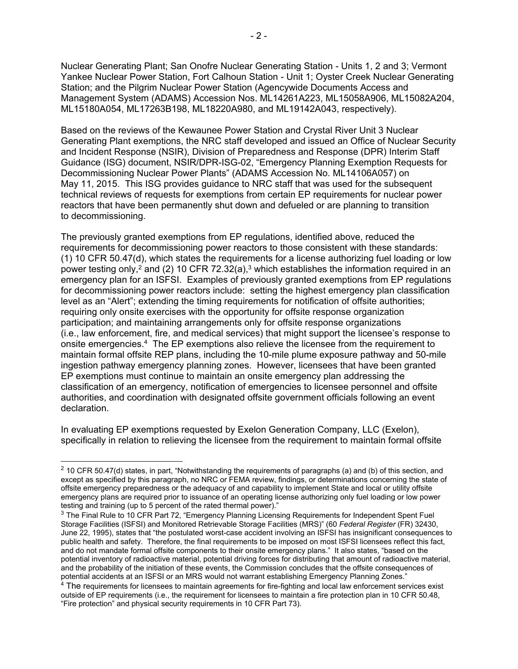Nuclear Generating Plant; San Onofre Nuclear Generating Station - Units 1, 2 and 3; Vermont Yankee Nuclear Power Station, Fort Calhoun Station - Unit 1; Oyster Creek Nuclear Generating Station; and the Pilgrim Nuclear Power Station (Agencywide Documents Access and Management System (ADAMS) Accession Nos. ML14261A223, ML15058A906, ML15082A204, ML15180A054, ML17263B198, ML18220A980, and ML19142A043, respectively).

Based on the reviews of the Kewaunee Power Station and Crystal River Unit 3 Nuclear Generating Plant exemptions, the NRC staff developed and issued an Office of Nuclear Security and Incident Response (NSIR), Division of Preparedness and Response (DPR) Interim Staff Guidance (ISG) document, NSIR/DPR-ISG-02, "Emergency Planning Exemption Requests for Decommissioning Nuclear Power Plants" (ADAMS Accession No. ML14106A057) on May 11, 2015. This ISG provides guidance to NRC staff that was used for the subsequent technical reviews of requests for exemptions from certain EP requirements for nuclear power reactors that have been permanently shut down and defueled or are planning to transition to decommissioning.

The previously granted exemptions from EP regulations, identified above, reduced the requirements for decommissioning power reactors to those consistent with these standards: (1) 10 CFR 50.47(d), which states the requirements for a license authorizing fuel loading or low power testing only,<sup>2</sup> and (2) 10 CFR 72.32(a),<sup>3</sup> which establishes the information required in an emergency plan for an ISFSI. Examples of previously granted exemptions from EP regulations for decommissioning power reactors include: setting the highest emergency plan classification level as an "Alert"; extending the timing requirements for notification of offsite authorities; requiring only onsite exercises with the opportunity for offsite response organization participation; and maintaining arrangements only for offsite response organizations (i.e., law enforcement, fire, and medical services) that might support the licensee's response to onsite emergencies.4 The EP exemptions also relieve the licensee from the requirement to maintain formal offsite REP plans, including the 10-mile plume exposure pathway and 50-mile ingestion pathway emergency planning zones. However, licensees that have been granted EP exemptions must continue to maintain an onsite emergency plan addressing the classification of an emergency, notification of emergencies to licensee personnel and offsite authorities, and coordination with designated offsite government officials following an event declaration.

In evaluating EP exemptions requested by Exelon Generation Company, LLC (Exelon), specifically in relation to relieving the licensee from the requirement to maintain formal offsite

 $\overline{a}$ 

 $2$  10 CFR 50.47(d) states, in part, "Notwithstanding the requirements of paragraphs (a) and (b) of this section, and except as specified by this paragraph, no NRC or FEMA review, findings, or determinations concerning the state of offsite emergency preparedness or the adequacy of and capability to implement State and local or utility offsite emergency plans are required prior to issuance of an operating license authorizing only fuel loading or low power testing and training (up to 5 percent of the rated thermal power)."

<sup>&</sup>lt;sup>3</sup> The Final Rule to 10 CFR Part 72, "Emergency Planning Licensing Requirements for Independent Spent Fuel Storage Facilities (ISFSI) and Monitored Retrievable Storage Facilities (MRS)" (60 *Federal Register* (FR) 32430, June 22, 1995), states that "the postulated worst-case accident involving an ISFSI has insignificant consequences to public health and safety. Therefore, the final requirements to be imposed on most ISFSI licensees reflect this fact, and do not mandate formal offsite components to their onsite emergency plans." It also states, "based on the potential inventory of radioactive material, potential driving forces for distributing that amount of radioactive material, and the probability of the initiation of these events, the Commission concludes that the offsite consequences of potential accidents at an ISFSI or an MRS would not warrant establishing Emergency Planning Zones."

 $4$  The requirements for licensees to maintain agreements for fire-fighting and local law enforcement services exist outside of EP requirements (i.e., the requirement for licensees to maintain a fire protection plan in 10 CFR 50.48, "Fire protection" and physical security requirements in 10 CFR Part 73).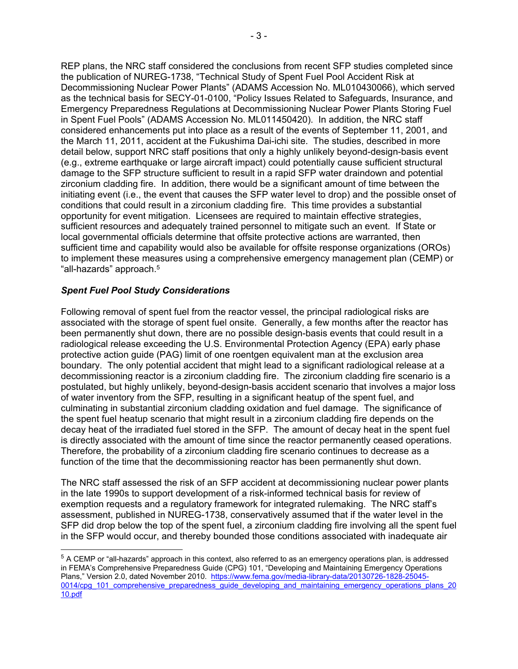REP plans, the NRC staff considered the conclusions from recent SFP studies completed since the publication of NUREG-1738, "Technical Study of Spent Fuel Pool Accident Risk at Decommissioning Nuclear Power Plants" (ADAMS Accession No. ML010430066), which served as the technical basis for SECY-01-0100, "Policy Issues Related to Safeguards, Insurance, and Emergency Preparedness Regulations at Decommissioning Nuclear Power Plants Storing Fuel in Spent Fuel Pools" (ADAMS Accession No. ML011450420). In addition, the NRC staff considered enhancements put into place as a result of the events of September 11, 2001, and the March 11, 2011, accident at the Fukushima Dai-ichi site. The studies, described in more detail below, support NRC staff positions that only a highly unlikely beyond-design-basis event (e.g., extreme earthquake or large aircraft impact) could potentially cause sufficient structural damage to the SFP structure sufficient to result in a rapid SFP water draindown and potential zirconium cladding fire. In addition, there would be a significant amount of time between the initiating event (i.e., the event that causes the SFP water level to drop) and the possible onset of conditions that could result in a zirconium cladding fire. This time provides a substantial opportunity for event mitigation. Licensees are required to maintain effective strategies, sufficient resources and adequately trained personnel to mitigate such an event. If State or local governmental officials determine that offsite protective actions are warranted, then sufficient time and capability would also be available for offsite response organizations (OROs) to implement these measures using a comprehensive emergency management plan (CEMP) or "all-hazards" approach.5

# *Spent Fuel Pool Study Considerations*

-

Following removal of spent fuel from the reactor vessel, the principal radiological risks are associated with the storage of spent fuel onsite. Generally, a few months after the reactor has been permanently shut down, there are no possible design-basis events that could result in a radiological release exceeding the U.S. Environmental Protection Agency (EPA) early phase protective action guide (PAG) limit of one roentgen equivalent man at the exclusion area boundary. The only potential accident that might lead to a significant radiological release at a decommissioning reactor is a zirconium cladding fire. The zirconium cladding fire scenario is a postulated, but highly unlikely, beyond-design-basis accident scenario that involves a major loss of water inventory from the SFP, resulting in a significant heatup of the spent fuel, and culminating in substantial zirconium cladding oxidation and fuel damage. The significance of the spent fuel heatup scenario that might result in a zirconium cladding fire depends on the decay heat of the irradiated fuel stored in the SFP. The amount of decay heat in the spent fuel is directly associated with the amount of time since the reactor permanently ceased operations. Therefore, the probability of a zirconium cladding fire scenario continues to decrease as a function of the time that the decommissioning reactor has been permanently shut down.

The NRC staff assessed the risk of an SFP accident at decommissioning nuclear power plants in the late 1990s to support development of a risk-informed technical basis for review of exemption requests and a regulatory framework for integrated rulemaking. The NRC staff's assessment, published in NUREG-1738, conservatively assumed that if the water level in the SFP did drop below the top of the spent fuel, a zirconium cladding fire involving all the spent fuel in the SFP would occur, and thereby bounded those conditions associated with inadequate air

<sup>&</sup>lt;sup>5</sup> A CEMP or "all-hazards" approach in this context, also referred to as an emergency operations plan, is addressed in FEMA's Comprehensive Preparedness Guide (CPG) 101, "Developing and Maintaining Emergency Operations Plans," Version 2.0, dated November 2010. https://www.fema.gov/media-library-data/20130726-1828-25045-0014/cpg\_101\_comprehensive\_preparedness\_guide\_developing\_and\_maintaining\_emergency\_operations\_plans\_20 10.pdf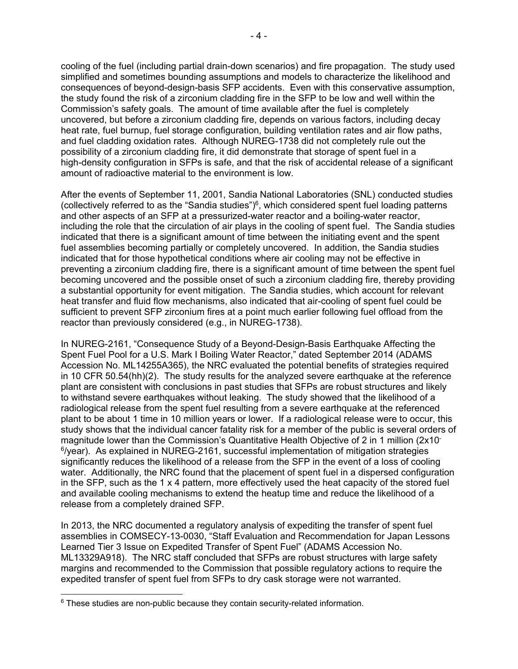cooling of the fuel (including partial drain-down scenarios) and fire propagation. The study used simplified and sometimes bounding assumptions and models to characterize the likelihood and consequences of beyond-design-basis SFP accidents. Even with this conservative assumption, the study found the risk of a zirconium cladding fire in the SFP to be low and well within the Commission's safety goals. The amount of time available after the fuel is completely uncovered, but before a zirconium cladding fire, depends on various factors, including decay heat rate, fuel burnup, fuel storage configuration, building ventilation rates and air flow paths, and fuel cladding oxidation rates. Although NUREG-1738 did not completely rule out the possibility of a zirconium cladding fire, it did demonstrate that storage of spent fuel in a high-density configuration in SFPs is safe, and that the risk of accidental release of a significant amount of radioactive material to the environment is low.

After the events of September 11, 2001, Sandia National Laboratories (SNL) conducted studies (collectively referred to as the "Sandia studies") $6$ , which considered spent fuel loading patterns and other aspects of an SFP at a pressurized-water reactor and a boiling-water reactor, including the role that the circulation of air plays in the cooling of spent fuel. The Sandia studies indicated that there is a significant amount of time between the initiating event and the spent fuel assemblies becoming partially or completely uncovered. In addition, the Sandia studies indicated that for those hypothetical conditions where air cooling may not be effective in preventing a zirconium cladding fire, there is a significant amount of time between the spent fuel becoming uncovered and the possible onset of such a zirconium cladding fire, thereby providing a substantial opportunity for event mitigation. The Sandia studies, which account for relevant heat transfer and fluid flow mechanisms, also indicated that air-cooling of spent fuel could be sufficient to prevent SFP zirconium fires at a point much earlier following fuel offload from the reactor than previously considered (e.g., in NUREG-1738).

In NUREG-2161, "Consequence Study of a Beyond-Design-Basis Earthquake Affecting the Spent Fuel Pool for a U.S. Mark I Boiling Water Reactor," dated September 2014 (ADAMS Accession No. ML14255A365), the NRC evaluated the potential benefits of strategies required in 10 CFR 50.54(hh)(2). The study results for the analyzed severe earthquake at the reference plant are consistent with conclusions in past studies that SFPs are robust structures and likely to withstand severe earthquakes without leaking. The study showed that the likelihood of a radiological release from the spent fuel resulting from a severe earthquake at the referenced plant to be about 1 time in 10 million years or lower. If a radiological release were to occur, this study shows that the individual cancer fatality risk for a member of the public is several orders of magnitude lower than the Commission's Quantitative Health Objective of 2 in 1 million (2x10-  $6$ /year). As explained in NUREG-2161, successful implementation of mitigation strategies significantly reduces the likelihood of a release from the SFP in the event of a loss of cooling water. Additionally, the NRC found that the placement of spent fuel in a dispersed configuration in the SFP, such as the 1 x 4 pattern, more effectively used the heat capacity of the stored fuel and available cooling mechanisms to extend the heatup time and reduce the likelihood of a release from a completely drained SFP.

In 2013, the NRC documented a regulatory analysis of expediting the transfer of spent fuel assemblies in COMSECY-13-0030, "Staff Evaluation and Recommendation for Japan Lessons Learned Tier 3 Issue on Expedited Transfer of Spent Fuel" (ADAMS Accession No. ML13329A918). The NRC staff concluded that SFPs are robust structures with large safety margins and recommended to the Commission that possible regulatory actions to require the expedited transfer of spent fuel from SFPs to dry cask storage were not warranted.

 $6$  These studies are non-public because they contain security-related information.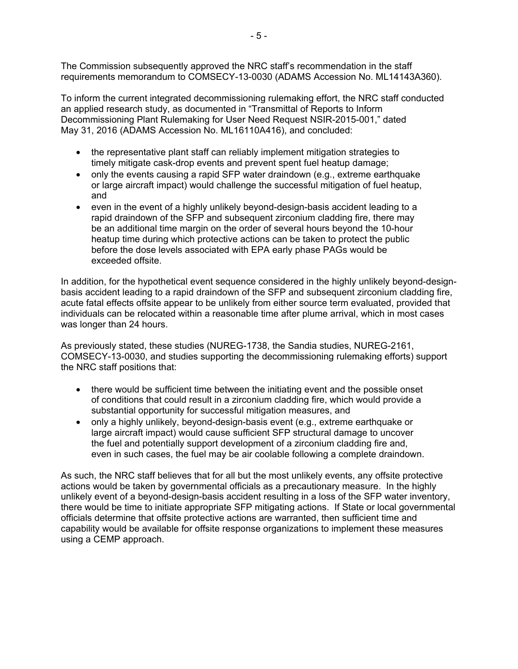The Commission subsequently approved the NRC staff's recommendation in the staff requirements memorandum to COMSECY-13-0030 (ADAMS Accession No. ML14143A360).

To inform the current integrated decommissioning rulemaking effort, the NRC staff conducted an applied research study, as documented in "Transmittal of Reports to Inform Decommissioning Plant Rulemaking for User Need Request NSIR-2015-001," dated May 31, 2016 (ADAMS Accession No. ML16110A416), and concluded:

- the representative plant staff can reliably implement mitigation strategies to timely mitigate cask-drop events and prevent spent fuel heatup damage;
- only the events causing a rapid SFP water draindown (e.g., extreme earthquake or large aircraft impact) would challenge the successful mitigation of fuel heatup, and
- even in the event of a highly unlikely beyond-design-basis accident leading to a rapid draindown of the SFP and subsequent zirconium cladding fire, there may be an additional time margin on the order of several hours beyond the 10-hour heatup time during which protective actions can be taken to protect the public before the dose levels associated with EPA early phase PAGs would be exceeded offsite.

In addition, for the hypothetical event sequence considered in the highly unlikely beyond-designbasis accident leading to a rapid draindown of the SFP and subsequent zirconium cladding fire, acute fatal effects offsite appear to be unlikely from either source term evaluated, provided that individuals can be relocated within a reasonable time after plume arrival, which in most cases was longer than 24 hours.

As previously stated, these studies (NUREG-1738, the Sandia studies, NUREG-2161, COMSECY-13-0030, and studies supporting the decommissioning rulemaking efforts) support the NRC staff positions that:

- there would be sufficient time between the initiating event and the possible onset of conditions that could result in a zirconium cladding fire, which would provide a substantial opportunity for successful mitigation measures, and
- only a highly unlikely, beyond-design-basis event (e.g., extreme earthquake or large aircraft impact) would cause sufficient SFP structural damage to uncover the fuel and potentially support development of a zirconium cladding fire and, even in such cases, the fuel may be air coolable following a complete draindown.

As such, the NRC staff believes that for all but the most unlikely events, any offsite protective actions would be taken by governmental officials as a precautionary measure. In the highly unlikely event of a beyond-design-basis accident resulting in a loss of the SFP water inventory, there would be time to initiate appropriate SFP mitigating actions. If State or local governmental officials determine that offsite protective actions are warranted, then sufficient time and capability would be available for offsite response organizations to implement these measures using a CEMP approach.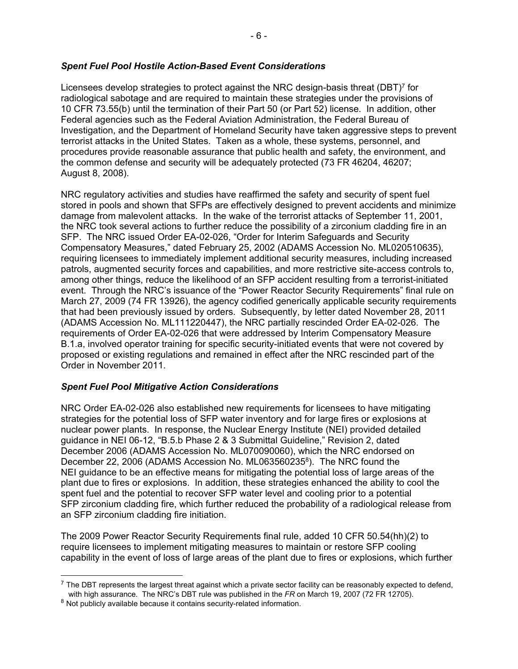### *Spent Fuel Pool Hostile Action-Based Event Considerations*

Licensees develop strategies to protect against the NRC design-basis threat (DBT)<sup>7</sup> for radiological sabotage and are required to maintain these strategies under the provisions of 10 CFR 73.55(b) until the termination of their Part 50 (or Part 52) license. In addition, other Federal agencies such as the Federal Aviation Administration, the Federal Bureau of Investigation, and the Department of Homeland Security have taken aggressive steps to prevent terrorist attacks in the United States. Taken as a whole, these systems, personnel, and procedures provide reasonable assurance that public health and safety, the environment, and the common defense and security will be adequately protected (73 FR 46204, 46207; August 8, 2008).

NRC regulatory activities and studies have reaffirmed the safety and security of spent fuel stored in pools and shown that SFPs are effectively designed to prevent accidents and minimize damage from malevolent attacks. In the wake of the terrorist attacks of September 11, 2001, the NRC took several actions to further reduce the possibility of a zirconium cladding fire in an SFP. The NRC issued Order EA-02-026, "Order for Interim Safeguards and Security Compensatory Measures," dated February 25, 2002 (ADAMS Accession No. ML020510635), requiring licensees to immediately implement additional security measures, including increased patrols, augmented security forces and capabilities, and more restrictive site-access controls to, among other things, reduce the likelihood of an SFP accident resulting from a terrorist-initiated event. Through the NRC's issuance of the "Power Reactor Security Requirements" final rule on March 27, 2009 (74 FR 13926), the agency codified generically applicable security requirements that had been previously issued by orders. Subsequently, by letter dated November 28, 2011 (ADAMS Accession No. ML111220447), the NRC partially rescinded Order EA-02-026. The requirements of Order EA-02-026 that were addressed by Interim Compensatory Measure B.1.a, involved operator training for specific security-initiated events that were not covered by proposed or existing regulations and remained in effect after the NRC rescinded part of the Order in November 2011.

## *Spent Fuel Pool Mitigative Action Considerations*

NRC Order EA-02-026 also established new requirements for licensees to have mitigating strategies for the potential loss of SFP water inventory and for large fires or explosions at nuclear power plants. In response, the Nuclear Energy Institute (NEI) provided detailed guidance in NEI 06-12, "B.5.b Phase 2 & 3 Submittal Guideline," Revision 2, dated December 2006 (ADAMS Accession No. ML070090060), which the NRC endorsed on December 22, 2006 (ADAMS Accession No. ML063560235<sup>8</sup>). The NRC found the NEI guidance to be an effective means for mitigating the potential loss of large areas of the plant due to fires or explosions. In addition, these strategies enhanced the ability to cool the spent fuel and the potential to recover SFP water level and cooling prior to a potential SFP zirconium cladding fire, which further reduced the probability of a radiological release from an SFP zirconium cladding fire initiation.

The 2009 Power Reactor Security Requirements final rule, added 10 CFR 50.54(hh)(2) to require licensees to implement mitigating measures to maintain or restore SFP cooling capability in the event of loss of large areas of the plant due to fires or explosions, which further

-

 $^7$  The DBT represents the largest threat against which a private sector facility can be reasonably expected to defend, with high assurance. The NRC's DBT rule was published in the *FR* on March 19, 2007 (72 FR 12705).

<sup>&</sup>lt;sup>8</sup> Not publicly available because it contains security-related information.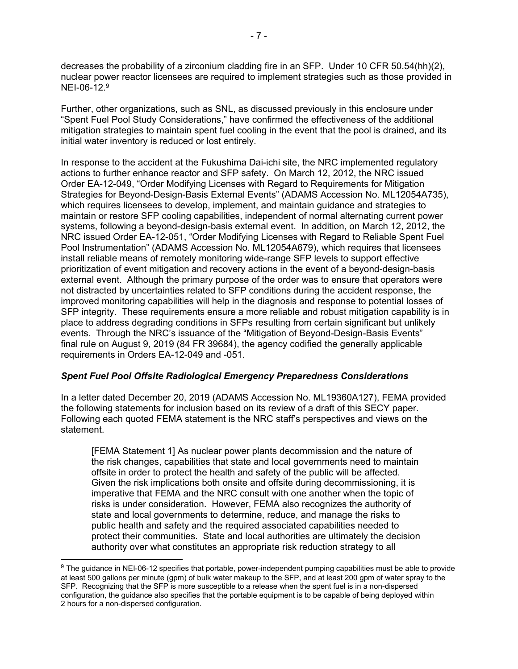decreases the probability of a zirconium cladding fire in an SFP. Under 10 CFR 50.54(hh)(2), nuclear power reactor licensees are required to implement strategies such as those provided in NFI-06-12<sup>9</sup>

Further, other organizations, such as SNL, as discussed previously in this enclosure under "Spent Fuel Pool Study Considerations," have confirmed the effectiveness of the additional mitigation strategies to maintain spent fuel cooling in the event that the pool is drained, and its initial water inventory is reduced or lost entirely.

In response to the accident at the Fukushima Dai-ichi site, the NRC implemented regulatory actions to further enhance reactor and SFP safety. On March 12, 2012, the NRC issued Order EA-12-049, "Order Modifying Licenses with Regard to Requirements for Mitigation Strategies for Beyond-Design-Basis External Events" (ADAMS Accession No. ML12054A735), which requires licensees to develop, implement, and maintain guidance and strategies to maintain or restore SFP cooling capabilities, independent of normal alternating current power systems, following a beyond-design-basis external event. In addition, on March 12, 2012, the NRC issued Order EA-12-051, "Order Modifying Licenses with Regard to Reliable Spent Fuel Pool Instrumentation" (ADAMS Accession No. ML12054A679), which requires that licensees install reliable means of remotely monitoring wide-range SFP levels to support effective prioritization of event mitigation and recovery actions in the event of a beyond-design-basis external event. Although the primary purpose of the order was to ensure that operators were not distracted by uncertainties related to SFP conditions during the accident response, the improved monitoring capabilities will help in the diagnosis and response to potential losses of SFP integrity. These requirements ensure a more reliable and robust mitigation capability is in place to address degrading conditions in SFPs resulting from certain significant but unlikely events. Through the NRC's issuance of the "Mitigation of Beyond-Design-Basis Events" final rule on August 9, 2019 (84 FR 39684), the agency codified the generally applicable requirements in Orders EA-12-049 and -051.

## *Spent Fuel Pool Offsite Radiological Emergency Preparedness Considerations*

In a letter dated December 20, 2019 (ADAMS Accession No. ML19360A127), FEMA provided the following statements for inclusion based on its review of a draft of this SECY paper. Following each quoted FEMA statement is the NRC staff's perspectives and views on the statement.

[FEMA Statement 1] As nuclear power plants decommission and the nature of the risk changes, capabilities that state and local governments need to maintain offsite in order to protect the health and safety of the public will be affected. Given the risk implications both onsite and offsite during decommissioning, it is imperative that FEMA and the NRC consult with one another when the topic of risks is under consideration. However, FEMA also recognizes the authority of state and local governments to determine, reduce, and manage the risks to public health and safety and the required associated capabilities needed to protect their communities. State and local authorities are ultimately the decision authority over what constitutes an appropriate risk reduction strategy to all

 $\overline{a}$ 

<sup>&</sup>lt;sup>9</sup> The guidance in NEI-06-12 specifies that portable, power-independent pumping capabilities must be able to provide at least 500 gallons per minute (gpm) of bulk water makeup to the SFP, and at least 200 gpm of water spray to the SFP. Recognizing that the SFP is more susceptible to a release when the spent fuel is in a non-dispersed configuration, the guidance also specifies that the portable equipment is to be capable of being deployed within 2 hours for a non-dispersed configuration.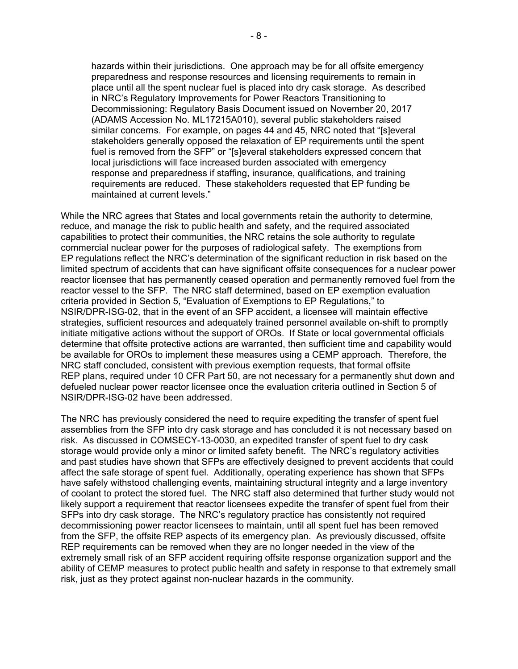hazards within their jurisdictions. One approach may be for all offsite emergency preparedness and response resources and licensing requirements to remain in place until all the spent nuclear fuel is placed into dry cask storage. As described in NRC's Regulatory Improvements for Power Reactors Transitioning to Decommissioning: Regulatory Basis Document issued on November 20, 2017 (ADAMS Accession No. ML17215A010), several public stakeholders raised similar concerns. For example, on pages 44 and 45, NRC noted that "[s]everal stakeholders generally opposed the relaxation of EP requirements until the spent fuel is removed from the SFP" or "[s]everal stakeholders expressed concern that local jurisdictions will face increased burden associated with emergency response and preparedness if staffing, insurance, qualifications, and training requirements are reduced. These stakeholders requested that EP funding be maintained at current levels."

While the NRC agrees that States and local governments retain the authority to determine, reduce, and manage the risk to public health and safety, and the required associated capabilities to protect their communities, the NRC retains the sole authority to regulate commercial nuclear power for the purposes of radiological safety. The exemptions from EP regulations reflect the NRC's determination of the significant reduction in risk based on the limited spectrum of accidents that can have significant offsite consequences for a nuclear power reactor licensee that has permanently ceased operation and permanently removed fuel from the reactor vessel to the SFP. The NRC staff determined, based on EP exemption evaluation criteria provided in Section 5, "Evaluation of Exemptions to EP Regulations," to NSIR/DPR-ISG-02, that in the event of an SFP accident, a licensee will maintain effective strategies, sufficient resources and adequately trained personnel available on-shift to promptly initiate mitigative actions without the support of OROs. If State or local governmental officials determine that offsite protective actions are warranted, then sufficient time and capability would be available for OROs to implement these measures using a CEMP approach. Therefore, the NRC staff concluded, consistent with previous exemption requests, that formal offsite REP plans, required under 10 CFR Part 50, are not necessary for a permanently shut down and defueled nuclear power reactor licensee once the evaluation criteria outlined in Section 5 of NSIR/DPR-ISG-02 have been addressed.

The NRC has previously considered the need to require expediting the transfer of spent fuel assemblies from the SFP into dry cask storage and has concluded it is not necessary based on risk. As discussed in COMSECY-13-0030, an expedited transfer of spent fuel to dry cask storage would provide only a minor or limited safety benefit. The NRC's regulatory activities and past studies have shown that SFPs are effectively designed to prevent accidents that could affect the safe storage of spent fuel. Additionally, operating experience has shown that SFPs have safely withstood challenging events, maintaining structural integrity and a large inventory of coolant to protect the stored fuel. The NRC staff also determined that further study would not likely support a requirement that reactor licensees expedite the transfer of spent fuel from their SFPs into dry cask storage. The NRC's regulatory practice has consistently not required decommissioning power reactor licensees to maintain, until all spent fuel has been removed from the SFP, the offsite REP aspects of its emergency plan. As previously discussed, offsite REP requirements can be removed when they are no longer needed in the view of the extremely small risk of an SFP accident requiring offsite response organization support and the ability of CEMP measures to protect public health and safety in response to that extremely small risk, just as they protect against non-nuclear hazards in the community.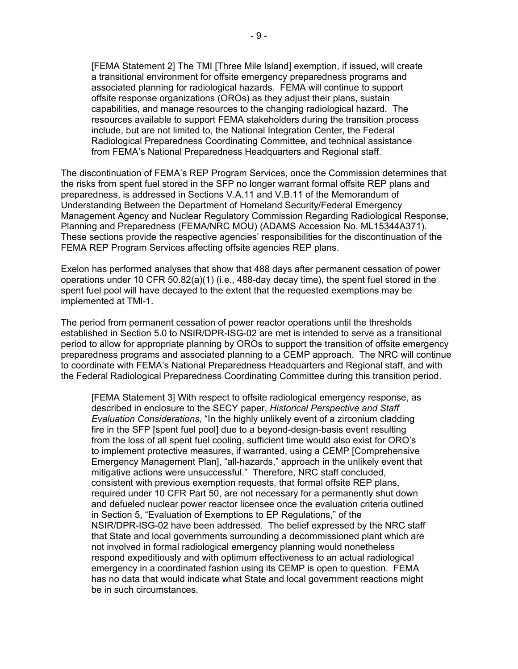[FEMA Statement 2] The TMI [Three Mile Island] exemption, if issued, will create a transitional environment for offsite emergency preparedness programs and associated planning for radiological hazards. FEMA will continue to support offsite response organizations (OROs) as they adjust their plans, sustain capabilities, and manage resources to the changing radiological hazard. The resources available to support FEMA stakeholders during the transition process include, but are not limited to, the National Integration Center, the Federal Radiological Preparedness Coordinating Committee, and technical assistance from FEMA's National Preparedness Headquarters and Regional staff.

The discontinuation of FEMA's REP Program Services, once the Commission determines that the risks from spent fuel stored in the SFP no longer warrant formal offsite REP plans and preparedness, is addressed in Sections V.A.11 and V.B.11 of the Memorandum of Understanding Between the Department of Homeland Security/Federal Emergency Management Agency and Nuclear Regulatory Commission Regarding Radiological Response, Planning and Preparedness (FEMA/NRC MOU) (ADAMS Accession No. ML15344A371). These sections provide the respective agencies' responsibilities for the discontinuation of the FEMA REP Program Services affecting offsite agencies REP plans.

Exelon has performed analyses that show that 488 days after permanent cessation of power operations under 10 CFR 50.82(a)(1) (i.e., 488-day decay time), the spent fuel stored in the spent fuel pool will have decayed to the extent that the requested exemptions may be implemented at TMl-1.

The period from permanent cessation of power reactor operations until the thresholds established in Section 5.0 to NSIR/DPR-ISG-02 are met is intended to serve as a transitional period to allow for appropriate planning by OROs to support the transition of offsite emergency preparedness programs and associated planning to a CEMP approach. The NRC will continue to coordinate with FEMA's National Preparedness Headquarters and Regional staff, and with the Federal Radiological Preparedness Coordinating Committee during this transition period.

[FEMA Statement 3] With respect to offsite radiological emergency response, as described in enclosure to the SECY paper, *Historical Perspective and Staff Evaluation Considerations*, "In the highly unlikely event of a zirconium cladding fire in the SFP [spent fuel pool] due to a beyond-design-basis event resulting from the loss of all spent fuel cooling, sufficient time would also exist for ORO's to implement protective measures, if warranted, using a CEMP [Comprehensive Emergency Management Plan], "all-hazards," approach in the unlikely event that mitigative actions were unsuccessful." Therefore, NRC staff concluded, consistent with previous exemption requests, that formal offsite REP plans, required under 10 CFR Part 50, are not necessary for a permanently shut down and defueled nuclear power reactor licensee once the evaluation criteria outlined in Section 5, "Evaluation of Exemptions to EP Regulations," of the NSIR/DPR-ISG-02 have been addressed. The belief expressed by the NRC staff that State and local governments surrounding a decommissioned plant which are not involved in formal radiological emergency planning would nonetheless respond expeditiously and with optimum effectiveness to an actual radiological emergency in a coordinated fashion using its CEMP is open to question. FEMA has no data that would indicate what State and local government reactions might be in such circumstances.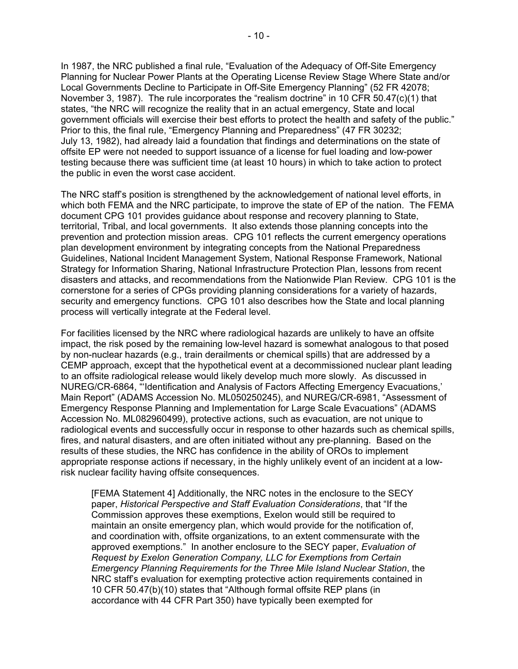In 1987, the NRC published a final rule, "Evaluation of the Adequacy of Off-Site Emergency Planning for Nuclear Power Plants at the Operating License Review Stage Where State and/or Local Governments Decline to Participate in Off-Site Emergency Planning" (52 FR 42078; November 3, 1987). The rule incorporates the "realism doctrine" in 10 CFR 50.47(c)(1) that states, "the NRC will recognize the reality that in an actual emergency, State and local government officials will exercise their best efforts to protect the health and safety of the public." Prior to this, the final rule, "Emergency Planning and Preparedness" (47 FR 30232; July 13, 1982), had already laid a foundation that findings and determinations on the state of offsite EP were not needed to support issuance of a license for fuel loading and low-power testing because there was sufficient time (at least 10 hours) in which to take action to protect the public in even the worst case accident.

The NRC staff's position is strengthened by the acknowledgement of national level efforts, in which both FEMA and the NRC participate, to improve the state of EP of the nation. The FEMA document CPG 101 provides guidance about response and recovery planning to State, territorial, Tribal, and local governments. It also extends those planning concepts into the prevention and protection mission areas. CPG 101 reflects the current emergency operations plan development environment by integrating concepts from the National Preparedness Guidelines, National Incident Management System, National Response Framework, National Strategy for Information Sharing, National Infrastructure Protection Plan, lessons from recent disasters and attacks, and recommendations from the Nationwide Plan Review. CPG 101 is the cornerstone for a series of CPGs providing planning considerations for a variety of hazards, security and emergency functions. CPG 101 also describes how the State and local planning process will vertically integrate at the Federal level.

For facilities licensed by the NRC where radiological hazards are unlikely to have an offsite impact, the risk posed by the remaining low-level hazard is somewhat analogous to that posed by non-nuclear hazards (e.g., train derailments or chemical spills) that are addressed by a CEMP approach, except that the hypothetical event at a decommissioned nuclear plant leading to an offsite radiological release would likely develop much more slowly. As discussed in NUREG/CR-6864, "'Identification and Analysis of Factors Affecting Emergency Evacuations,' Main Report" (ADAMS Accession No. ML050250245), and NUREG/CR-6981, "Assessment of Emergency Response Planning and Implementation for Large Scale Evacuations" (ADAMS Accession No. ML082960499), protective actions, such as evacuation, are not unique to radiological events and successfully occur in response to other hazards such as chemical spills, fires, and natural disasters, and are often initiated without any pre-planning. Based on the results of these studies, the NRC has confidence in the ability of OROs to implement appropriate response actions if necessary, in the highly unlikely event of an incident at a lowrisk nuclear facility having offsite consequences.

[FEMA Statement 4] Additionally, the NRC notes in the enclosure to the SECY paper, *Historical Perspective and Staff Evaluation Considerations*, that "If the Commission approves these exemptions, Exelon would still be required to maintain an onsite emergency plan, which would provide for the notification of, and coordination with, offsite organizations, to an extent commensurate with the approved exemptions." In another enclosure to the SECY paper, *Evaluation of Request by Exelon Generation Company, LLC for Exemptions from Certain Emergency Planning Requirements for the Three Mile Island Nuclear Station*, the NRC staff's evaluation for exempting protective action requirements contained in 10 CFR 50.47(b)(10) states that "Although formal offsite REP plans (in accordance with 44 CFR Part 350) have typically been exempted for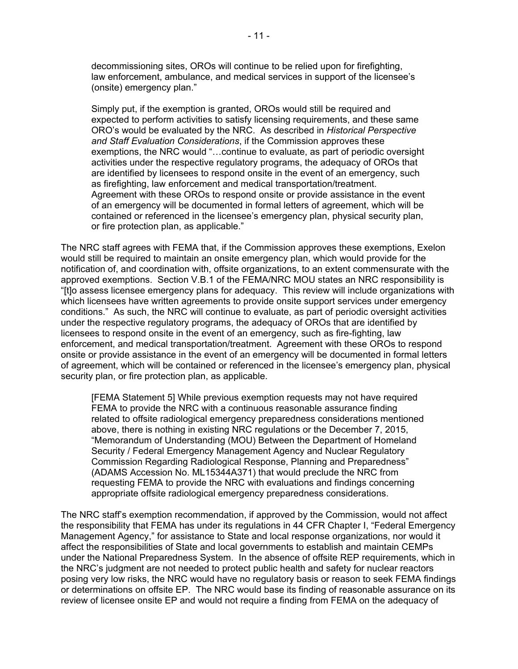decommissioning sites, OROs will continue to be relied upon for firefighting, law enforcement, ambulance, and medical services in support of the licensee's (onsite) emergency plan."

Simply put, if the exemption is granted, OROs would still be required and expected to perform activities to satisfy licensing requirements, and these same ORO's would be evaluated by the NRC. As described in *Historical Perspective and Staff Evaluation Considerations*, if the Commission approves these exemptions, the NRC would "…continue to evaluate, as part of periodic oversight activities under the respective regulatory programs, the adequacy of OROs that are identified by licensees to respond onsite in the event of an emergency, such as firefighting, law enforcement and medical transportation/treatment. Agreement with these OROs to respond onsite or provide assistance in the event of an emergency will be documented in formal letters of agreement, which will be contained or referenced in the licensee's emergency plan, physical security plan, or fire protection plan, as applicable."

The NRC staff agrees with FEMA that, if the Commission approves these exemptions, Exelon would still be required to maintain an onsite emergency plan, which would provide for the notification of, and coordination with, offsite organizations, to an extent commensurate with the approved exemptions. Section V.B.1 of the FEMA/NRC MOU states an NRC responsibility is "[t]o assess licensee emergency plans for adequacy. This review will include organizations with which licensees have written agreements to provide onsite support services under emergency conditions." As such, the NRC will continue to evaluate, as part of periodic oversight activities under the respective regulatory programs, the adequacy of OROs that are identified by licensees to respond onsite in the event of an emergency, such as fire-fighting, law enforcement, and medical transportation/treatment. Agreement with these OROs to respond onsite or provide assistance in the event of an emergency will be documented in formal letters of agreement, which will be contained or referenced in the licensee's emergency plan, physical security plan, or fire protection plan, as applicable.

[FEMA Statement 5] While previous exemption requests may not have required FEMA to provide the NRC with a continuous reasonable assurance finding related to offsite radiological emergency preparedness considerations mentioned above, there is nothing in existing NRC regulations or the December 7, 2015, "Memorandum of Understanding (MOU) Between the Department of Homeland Security / Federal Emergency Management Agency and Nuclear Regulatory Commission Regarding Radiological Response, Planning and Preparedness" (ADAMS Accession No. ML15344A371) that would preclude the NRC from requesting FEMA to provide the NRC with evaluations and findings concerning appropriate offsite radiological emergency preparedness considerations.

The NRC staff's exemption recommendation, if approved by the Commission, would not affect the responsibility that FEMA has under its regulations in 44 CFR Chapter I, "Federal Emergency Management Agency," for assistance to State and local response organizations, nor would it affect the responsibilities of State and local governments to establish and maintain CEMPs under the National Preparedness System. In the absence of offsite REP requirements, which in the NRC's judgment are not needed to protect public health and safety for nuclear reactors posing very low risks, the NRC would have no regulatory basis or reason to seek FEMA findings or determinations on offsite EP. The NRC would base its finding of reasonable assurance on its review of licensee onsite EP and would not require a finding from FEMA on the adequacy of